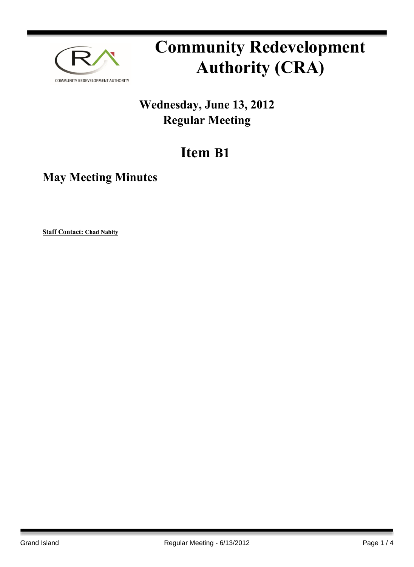

# **Community Redevelopment Authority (CRA)**

## **Wednesday, June 13, 2012 Regular Meeting**

## **Item B1**

### **May Meeting Minutes**

**Staff Contact: Chad Nabity**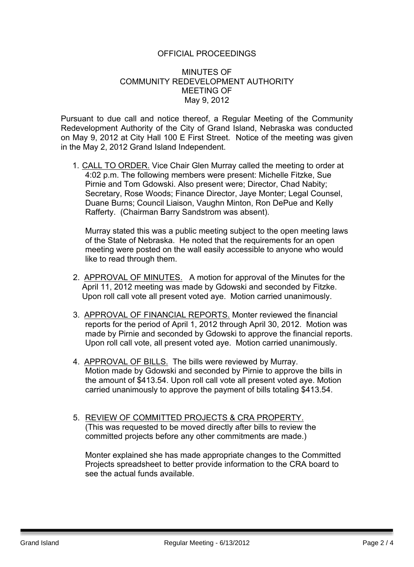#### OFFICIAL PROCEEDINGS

#### MINUTES OF COMMUNITY REDEVELOPMENT AUTHORITY MEETING OF May 9, 2012

Pursuant to due call and notice thereof, a Regular Meeting of the Community Redevelopment Authority of the City of Grand Island, Nebraska was conducted on May 9, 2012 at City Hall 100 E First Street. Notice of the meeting was given in the May 2, 2012 Grand Island Independent.

1. CALL TO ORDER. Vice Chair Glen Murray called the meeting to order at 4:02 p.m. The following members were present: Michelle Fitzke, Sue Pirnie and Tom Gdowski. Also present were; Director, Chad Nabity; Secretary, Rose Woods; Finance Director, Jaye Monter; Legal Counsel, Duane Burns; Council Liaison, Vaughn Minton, Ron DePue and Kelly Rafferty. (Chairman Barry Sandstrom was absent).

Murray stated this was a public meeting subject to the open meeting laws of the State of Nebraska. He noted that the requirements for an open meeting were posted on the wall easily accessible to anyone who would like to read through them.

- 2. APPROVAL OF MINUTES. A motion for approval of the Minutes for the April 11, 2012 meeting was made by Gdowski and seconded by Fitzke. Upon roll call vote all present voted aye. Motion carried unanimously.
- 3. APPROVAL OF FINANCIAL REPORTS. Monter reviewed the financial reports for the period of April 1, 2012 through April 30, 2012. Motion was made by Pirnie and seconded by Gdowski to approve the financial reports. Upon roll call vote, all present voted aye. Motion carried unanimously.
- 4. APPROVAL OF BILLS. The bills were reviewed by Murray. Motion made by Gdowski and seconded by Pirnie to approve the bills in the amount of \$413.54. Upon roll call vote all present voted aye. Motion carried unanimously to approve the payment of bills totaling \$413.54.
- 5. REVIEW OF COMMITTED PROJECTS & CRA PROPERTY. (This was requested to be moved directly after bills to review the committed projects before any other commitments are made.)

Monter explained she has made appropriate changes to the Committed Projects spreadsheet to better provide information to the CRA board to see the actual funds available.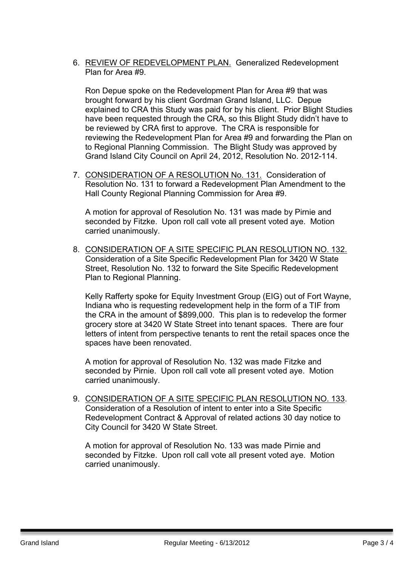6. REVIEW OF REDEVELOPMENT PLAN. Generalized Redevelopment Plan for Area #9.

Ron Depue spoke on the Redevelopment Plan for Area #9 that was brought forward by his client Gordman Grand Island, LLC. Depue explained to CRA this Study was paid for by his client. Prior Blight Studies have been requested through the CRA, so this Blight Study didn't have to be reviewed by CRA first to approve. The CRA is responsible for reviewing the Redevelopment Plan for Area #9 and forwarding the Plan on to Regional Planning Commission. The Blight Study was approved by Grand Island City Council on April 24, 2012, Resolution No. 2012-114.

7. CONSIDERATION OF A RESOLUTION No. 131. Consideration of Resolution No. 131 to forward a Redevelopment Plan Amendment to the Hall County Regional Planning Commission for Area #9.

A motion for approval of Resolution No. 131 was made by Pirnie and seconded by Fitzke. Upon roll call vote all present voted aye. Motion carried unanimously.

8. CONSIDERATION OF A SITE SPECIFIC PLAN RESOLUTION NO. 132. Consideration of a Site Specific Redevelopment Plan for 3420 W State Street, Resolution No. 132 to forward the Site Specific Redevelopment Plan to Regional Planning.

Kelly Rafferty spoke for Equity Investment Group (EIG) out of Fort Wayne, Indiana who is requesting redevelopment help in the form of a TIF from the CRA in the amount of \$899,000. This plan is to redevelop the former grocery store at 3420 W State Street into tenant spaces. There are four letters of intent from perspective tenants to rent the retail spaces once the spaces have been renovated.

A motion for approval of Resolution No. 132 was made Fitzke and seconded by Pirnie. Upon roll call vote all present voted aye. Motion carried unanimously.

9. CONSIDERATION OF A SITE SPECIFIC PLAN RESOLUTION NO. 133. Consideration of a Resolution of intent to enter into a Site Specific Redevelopment Contract & Approval of related actions 30 day notice to City Council for 3420 W State Street.

A motion for approval of Resolution No. 133 was made Pirnie and seconded by Fitzke. Upon roll call vote all present voted aye. Motion carried unanimously.